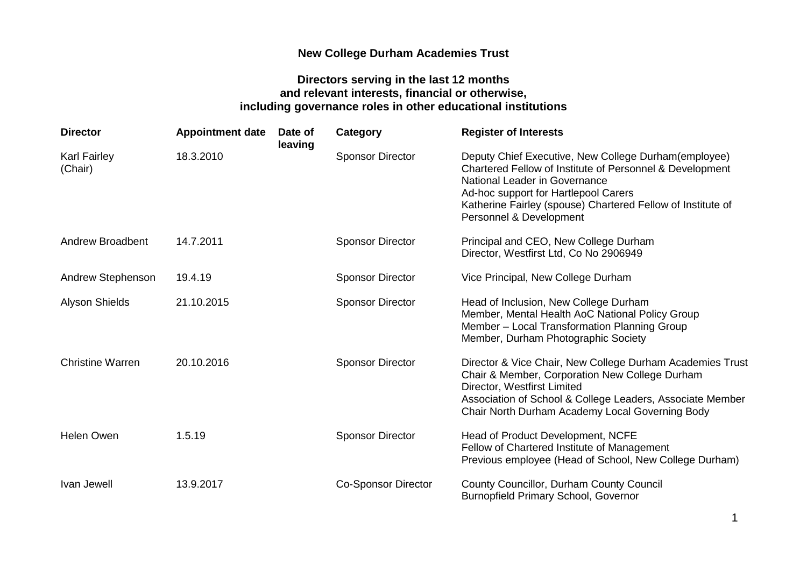## **New College Durham Academies Trust**

## **Directors serving in the last 12 months and relevant interests, financial or otherwise, including governance roles in other educational institutions**

| <b>Director</b>                | <b>Appointment date</b> | Date of<br>leaving | Category                   | <b>Register of Interests</b>                                                                                                                                                                                                                                                        |
|--------------------------------|-------------------------|--------------------|----------------------------|-------------------------------------------------------------------------------------------------------------------------------------------------------------------------------------------------------------------------------------------------------------------------------------|
| <b>Karl Fairley</b><br>(Chair) | 18.3.2010               |                    | <b>Sponsor Director</b>    | Deputy Chief Executive, New College Durham(employee)<br>Chartered Fellow of Institute of Personnel & Development<br>National Leader in Governance<br>Ad-hoc support for Hartlepool Carers<br>Katherine Fairley (spouse) Chartered Fellow of Institute of<br>Personnel & Development |
| <b>Andrew Broadbent</b>        | 14.7.2011               |                    | <b>Sponsor Director</b>    | Principal and CEO, New College Durham<br>Director, Westfirst Ltd, Co No 2906949                                                                                                                                                                                                     |
| <b>Andrew Stephenson</b>       | 19.4.19                 |                    | <b>Sponsor Director</b>    | Vice Principal, New College Durham                                                                                                                                                                                                                                                  |
| <b>Alyson Shields</b>          | 21.10.2015              |                    | <b>Sponsor Director</b>    | Head of Inclusion, New College Durham<br>Member, Mental Health AoC National Policy Group<br>Member - Local Transformation Planning Group<br>Member, Durham Photographic Society                                                                                                     |
| <b>Christine Warren</b>        | 20.10.2016              |                    | <b>Sponsor Director</b>    | Director & Vice Chair, New College Durham Academies Trust<br>Chair & Member, Corporation New College Durham<br>Director, Westfirst Limited<br>Association of School & College Leaders, Associate Member<br>Chair North Durham Academy Local Governing Body                          |
| <b>Helen Owen</b>              | 1.5.19                  |                    | <b>Sponsor Director</b>    | Head of Product Development, NCFE<br>Fellow of Chartered Institute of Management<br>Previous employee (Head of School, New College Durham)                                                                                                                                          |
| Ivan Jewell                    | 13.9.2017               |                    | <b>Co-Sponsor Director</b> | County Councillor, Durham County Council<br><b>Burnopfield Primary School, Governor</b>                                                                                                                                                                                             |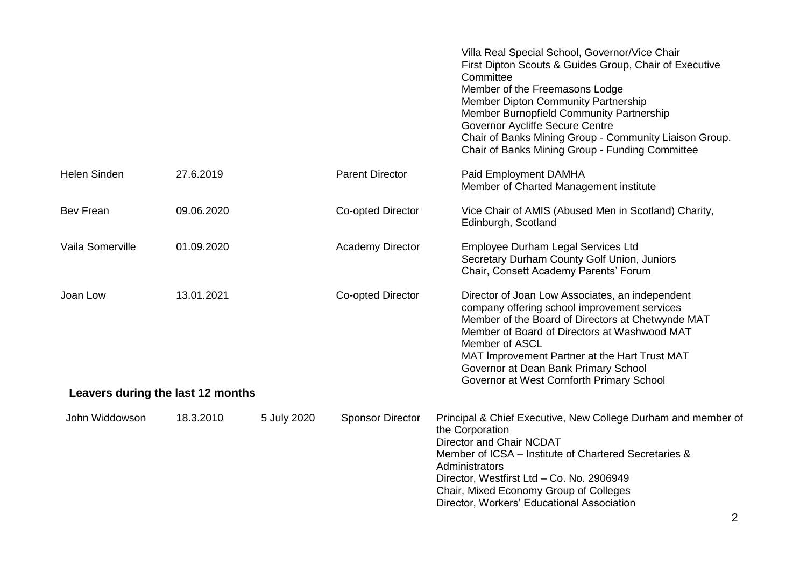|                                               |            |             |                         | Villa Real Special School, Governor/Vice Chair<br>First Dipton Scouts & Guides Group, Chair of Executive<br>Committee<br>Member of the Freemasons Lodge<br>Member Dipton Community Partnership<br>Member Burnopfield Community Partnership<br><b>Governor Aycliffe Secure Centre</b><br>Chair of Banks Mining Group - Community Liaison Group.<br>Chair of Banks Mining Group - Funding Committee |
|-----------------------------------------------|------------|-------------|-------------------------|---------------------------------------------------------------------------------------------------------------------------------------------------------------------------------------------------------------------------------------------------------------------------------------------------------------------------------------------------------------------------------------------------|
| <b>Helen Sinden</b>                           | 27.6.2019  |             | <b>Parent Director</b>  | Paid Employment DAMHA<br>Member of Charted Management institute                                                                                                                                                                                                                                                                                                                                   |
| Bev Frean                                     | 09.06.2020 |             | Co-opted Director       | Vice Chair of AMIS (Abused Men in Scotland) Charity,<br>Edinburgh, Scotland                                                                                                                                                                                                                                                                                                                       |
| Vaila Somerville                              | 01.09.2020 |             | <b>Academy Director</b> | Employee Durham Legal Services Ltd<br>Secretary Durham County Golf Union, Juniors<br>Chair, Consett Academy Parents' Forum                                                                                                                                                                                                                                                                        |
| Joan Low<br>Leavers during the last 12 months | 13.01.2021 |             | Co-opted Director       | Director of Joan Low Associates, an independent<br>company offering school improvement services<br>Member of the Board of Directors at Chetwynde MAT<br>Member of Board of Directors at Washwood MAT<br>Member of ASCL<br>MAT Improvement Partner at the Hart Trust MAT<br>Governor at Dean Bank Primary School<br>Governor at West Cornforth Primary School                                      |
|                                               |            |             |                         |                                                                                                                                                                                                                                                                                                                                                                                                   |
| John Widdowson                                | 18.3.2010  | 5 July 2020 | <b>Sponsor Director</b> | Principal & Chief Executive, New College Durham and member of<br>the Corporation<br>Director and Chair NCDAT<br>Member of ICSA - Institute of Chartered Secretaries &<br>Administrators<br>Director, Westfirst Ltd - Co. No. 2906949<br>Chair, Mixed Economy Group of Colleges<br>Director, Workers' Educational Association                                                                      |